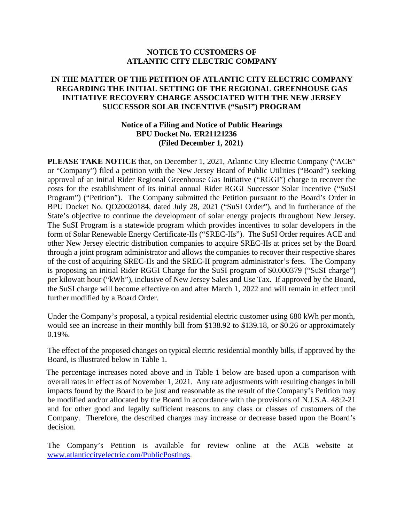## **NOTICE TO CUSTOMERS OF ATLANTIC CITY ELECTRIC COMPANY**

## **IN THE MATTER OF THE PETITION OF ATLANTIC CITY ELECTRIC COMPANY REGARDING THE INITIAL SETTING OF THE REGIONAL GREENHOUSE GAS INITIATIVE RECOVERY CHARGE ASSOCIATED WITH THE NEW JERSEY SUCCESSOR SOLAR INCENTIVE ("SuSI") PROGRAM**

## **Notice of a Filing and Notice of Public Hearings BPU Docket No. ER21121236 (Filed December 1, 2021)**

**PLEASE TAKE NOTICE** that, on December 1, 2021, Atlantic City Electric Company ("ACE" or "Company") filed a petition with the New Jersey Board of Public Utilities ("Board") seeking approval of an initial Rider Regional Greenhouse Gas Initiative ("RGGI") charge to recover the costs for the establishment of its initial annual Rider RGGI Successor Solar Incentive ("SuSI Program") ("Petition"). The Company submitted the Petition pursuant to the Board's Order in BPU Docket No. QO20020184, dated July 28, 2021 ("SuSI Order"), and in furtherance of the State's objective to continue the development of solar energy projects throughout New Jersey. The SuSI Program is a statewide program which provides incentives to solar developers in the form of Solar Renewable Energy Certificate-IIs ("SREC-IIs"). The SuSI Order requires ACE and other New Jersey electric distribution companies to acquire SREC-IIs at prices set by the Board through a joint program administrator and allows the companies to recover their respective shares of the cost of acquiring SREC-IIs and the SREC-II program administrator's fees. The Company is proposing an initial Rider RGGI Charge for the SuSI program of \$0.000379 ("SuSI charge") per kilowatt hour ("kWh"), inclusive of New Jersey Sales and Use Tax. If approved by the Board, the SuSI charge will become effective on and after March 1, 2022 and will remain in effect until further modified by a Board Order.

Under the Company's proposal, a typical residential electric customer using 680 kWh per month, would see an increase in their monthly bill from \$138.92 to \$139.18, or \$0.26 or approximately 0.19%.

The effect of the proposed changes on typical electric residential monthly bills, if approved by the Board, is illustrated below in Table 1.

The percentage increases noted above and in Table 1 below are based upon a comparison with overall rates in effect as of November 1, 2021. Any rate adjustments with resulting changes in bill impacts found by the Board to be just and reasonable as the result of the Company's Petition may be modified and/or allocated by the Board in accordance with the provisions of N.J.S.A. 48:2-21 and for other good and legally sufficient reasons to any class or classes of customers of the Company. Therefore, the described charges may increase or decrease based upon the Board's decision.

The Company's Petition is available for review online at the ACE website at www.atlanticcityelectric.com/PublicPostings.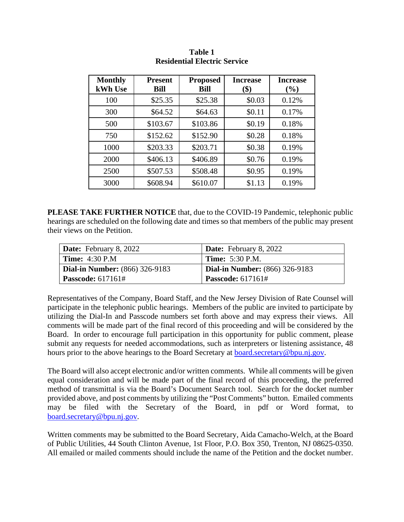| <b>Monthly</b><br>kWh Use | <b>Present</b><br><b>Bill</b> | <b>Proposed</b><br><b>Bill</b> | <b>Increase</b><br>\$) | <b>Increase</b><br>(%) |
|---------------------------|-------------------------------|--------------------------------|------------------------|------------------------|
| 100                       | \$25.35                       | \$25.38                        | \$0.03                 | 0.12%                  |
| 300                       | \$64.52                       | \$64.63                        | \$0.11                 | 0.17%                  |
| 500                       | \$103.67                      | \$103.86                       | \$0.19                 | 0.18%                  |
| 750                       | \$152.62                      | \$152.90                       | \$0.28                 | 0.18%                  |
| 1000                      | \$203.33                      | \$203.71                       | \$0.38                 | 0.19%                  |
| 2000                      | \$406.13                      | \$406.89                       | \$0.76                 | 0.19%                  |
| 2500                      | \$507.53                      | \$508.48                       | \$0.95                 | 0.19%                  |
| 3000                      | \$608.94                      | \$610.07                       | \$1.13                 | 0.19%                  |

## **Table 1 Residential Electric Service**

**PLEASE TAKE FURTHER NOTICE** that, due to the COVID-19 Pandemic, telephonic public hearings are scheduled on the following date and times so that members of the public may present their views on the Petition.

| <b>Date:</b> February 8, 2022         | <b>Date:</b> February 8, 2022         |  |
|---------------------------------------|---------------------------------------|--|
| $\mid$ Time: 4:30 P.M                 | <b>Time:</b> 5:30 P.M.                |  |
| <b>Dial-in Number:</b> (866) 326-9183 | <b>Dial-in Number:</b> (866) 326-9183 |  |
| <b>Passcode:</b> 617161#              | <b>Passcode:</b> 617161#              |  |

Representatives of the Company, Board Staff, and the New Jersey Division of Rate Counsel will participate in the telephonic public hearings. Members of the public are invited to participate by utilizing the Dial-In and Passcode numbers set forth above and may express their views. All comments will be made part of the final record of this proceeding and will be considered by the Board. In order to encourage full participation in this opportunity for public comment, please submit any requests for needed accommodations, such as interpreters or listening assistance, 48 hours prior to the above hearings to the Board Secretary at board.secretary@bpu.nj.gov.

The Board will also accept electronic and/or written comments. While all comments will be given equal consideration and will be made part of the final record of this proceeding, the preferred method of transmittal is via the Board's Document Search tool. Search for the docket number provided above, and post comments by utilizing the "Post Comments" button. Emailed comments may be filed with the Secretary of the Board, in pdf or Word format, to board.secretary@bpu.nj.gov.

Written comments may be submitted to the Board Secretary, Aida Camacho-Welch, at the Board of Public Utilities, 44 South Clinton Avenue, 1st Floor, P.O. Box 350, Trenton, NJ 08625-0350. All emailed or mailed comments should include the name of the Petition and the docket number.